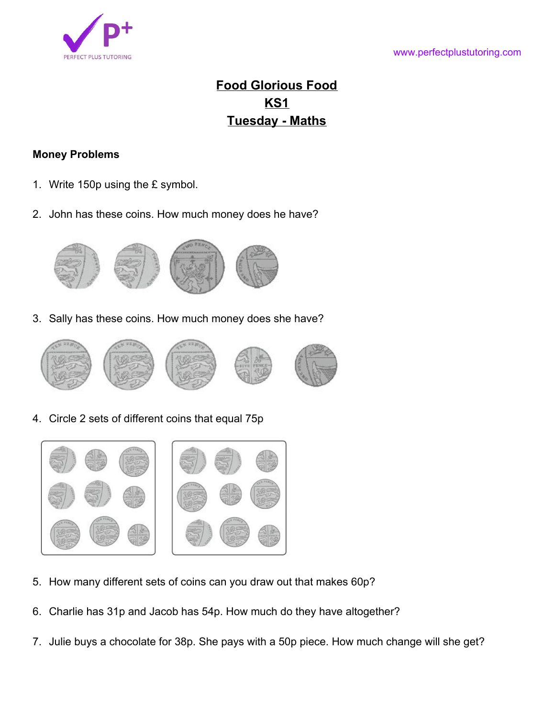

## **Food Glorious Food KS1 Tuesday - Maths**

## **Money Problems**

- 1. Write 150p using the £ symbol.
- 2. John has these coins. How much money does he have?



3. Sally has these coins. How much money does she have?



4. Circle 2 sets of different coins that equal 75p



- 5. How many different sets of coins can you draw out that makes 60p?
- 6. Charlie has 31p and Jacob has 54p. How much do they have altogether?
- 7. Julie buys a chocolate for 38p. She pays with a 50p piece. How much change will she get?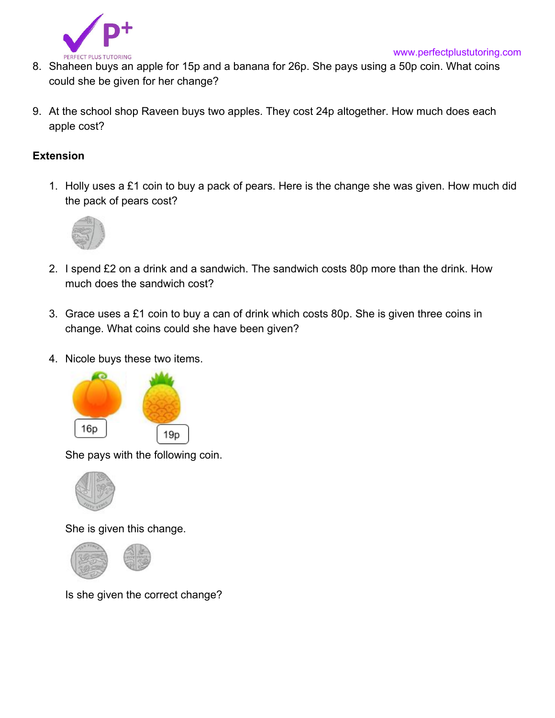

- 8. Shaheen buys an apple for 15p and a banana for 26p. She pays using a 50p coin. What coins could she be given for her change?
- 9. At the school shop Raveen buys two apples. They cost 24p altogether. How much does each apple cost?

## **Extension**

1. Holly uses a £1 coin to buy a pack of pears. Here is the change she was given. How much did the pack of pears cost?



- 2. I spend £2 on a drink and a sandwich. The sandwich costs 80p more than the drink. How much does the sandwich cost?
- 3. Grace uses a £1 coin to buy a can of drink which costs 80p. She is given three coins in change. What coins could she have been given?
- 4. Nicole buys these two items.



She pays with the following coin.



She is given this change.



Is she given the correct change?